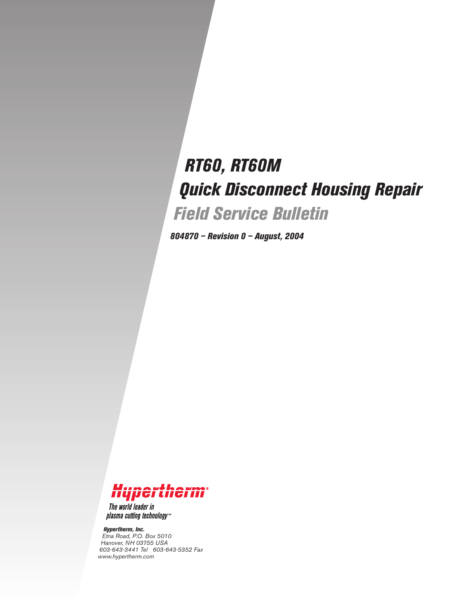# *RT60, RT60M Quick Disconnect Housing Repair Field Service Bulletin*

*804870 – Revision 0 – August, 2004*



The world leader in plasma cutting technology<sup>\*\*</sup>

*Hypertherm, Inc. Etna Road, P.O. Box 5010 Hanover, NH 03755 USA 603-643-3441 Tel 603-643-5352 Fax www.hypertherm.com*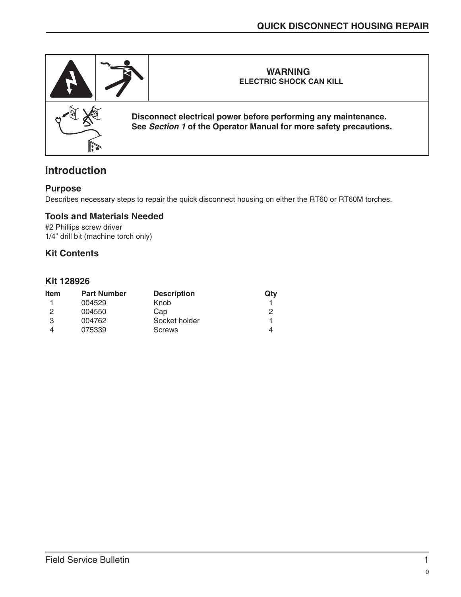

# **Introduction**

#### **Purpose**

Describes necessary steps to repair the quick disconnect housing on either the RT60 or RT60M torches.

#### **Tools and Materials Needed**

#2 Phillips screw driver 1/4" drill bit (machine torch only)

#### **Kit Contents**

#### **Kit 128926**

| Item | <b>Part Number</b> | <b>Description</b> | Qtv |
|------|--------------------|--------------------|-----|
|      | 004529             | Knob               |     |
| 2    | 004550             | Cap                | פ   |
| З    | 004762             | Socket holder      |     |
|      | 075339             | <b>Screws</b>      | 4   |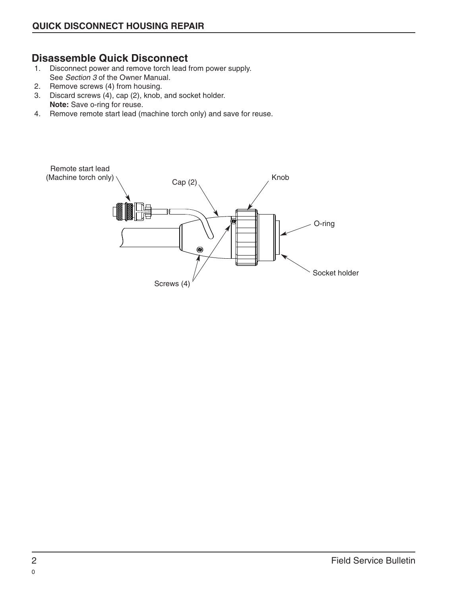# **Disassemble Quick Disconnect**<br>1. Disconnect power and remove torch lead

- Disconnect power and remove torch lead from power supply. See Section 3 of the Owner Manual.
- 2. Remove screws (4) from housing.
- 3. Discard screws (4), cap (2), knob, and socket holder. **Note:** Save o-ring for reuse.
- 4. Remove remote start lead (machine torch only) and save for reuse.

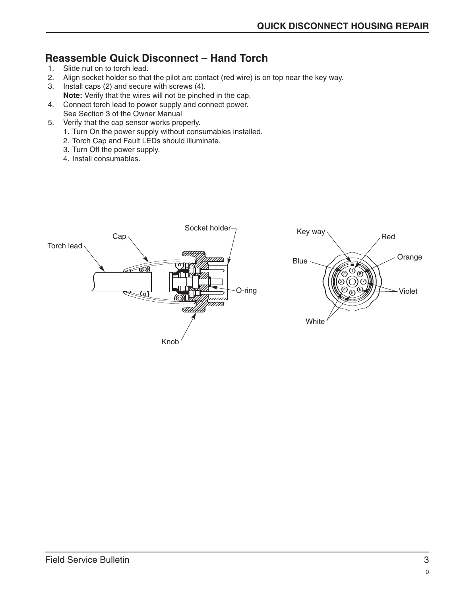## **Reassemble Quick Disconnect – Hand Torch**

- 1. Slide nut on to torch lead.
- 2. Align socket holder so that the pilot arc contact (red wire) is on top near the key way.
- 3. Install caps (2) and secure with screws (4). **Note:** Verify that the wires will not be pinched in the cap.
- 4. Connect torch lead to power supply and connect power. See Section 3 of the Owner Manual
- 5. Verify that the cap sensor works properly.
	- 1. Turn On the power supply without consumables installed.
	- 2. Torch Cap and Fault LEDs should illuminate.
	- 3. Turn Off the power supply.
	- 4. Install consumables.

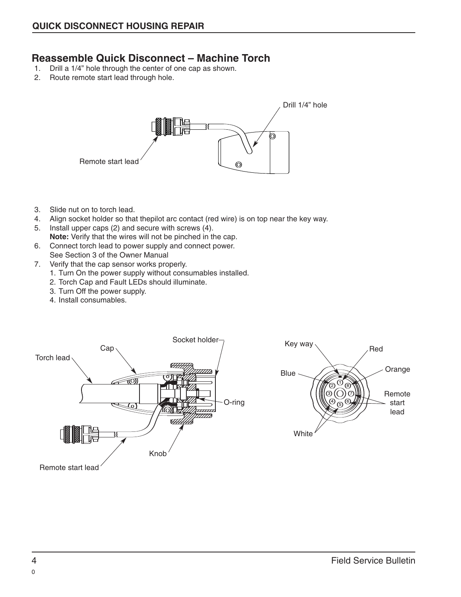### **Reassemble Quick Disconnect – Machine Torch**

- 1. Drill a 1/4" hole through the center of one cap as shown.
- 2. Route remote start lead through hole.



- 3. Slide nut on to torch lead.
- 4. Align socket holder so that thepilot arc contact (red wire) is on top near the key way.
- 5. Install upper caps (2) and secure with screws (4). **Note:** Verify that the wires will not be pinched in the cap.
- 6. Connect torch lead to power supply and connect power. See Section 3 of the Owner Manual
- 7. Verify that the cap sensor works properly.
	- 1. Turn On the power supply without consumables installed.
	- 2. Torch Cap and Fault LEDs should illuminate.
	- 3. Turn Off the power supply.
	- 4. Install consumables.